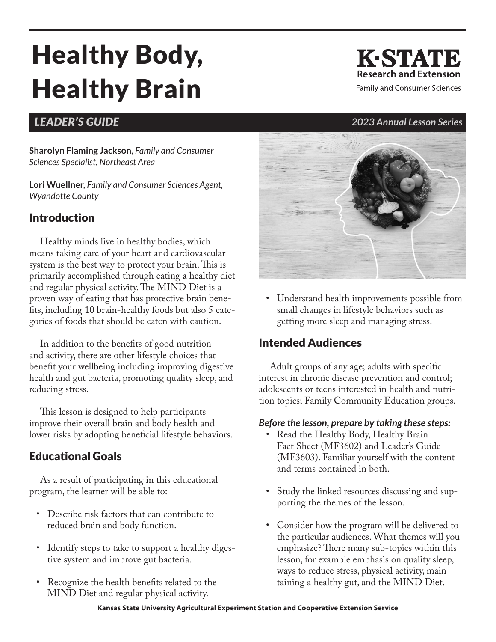# Healthy Body, Healthy Brain

# *LEADER'S GUIDE 2023 Annual Lesson Series*

**Sharolyn Flaming Jackson***, Family and Consumer Sciences Specialist, Northeast Area*

**Lori Wuellner,** *Family and Consumer Sciences Agent, Wyandotte County*

## Introduction

Healthy minds live in healthy bodies, which means taking care of your heart and cardiovascular system is the best way to protect your brain. This is primarily accomplished through eating a healthy diet and regular physical activity. The MIND Diet is a proven way of eating that has protective brain benefits, including 10 brain-healthy foods but also 5 categories of foods that should be eaten with caution.

In addition to the benefits of good nutrition and activity, there are other lifestyle choices that benefit your wellbeing including improving digestive health and gut bacteria, promoting quality sleep, and reducing stress.

This lesson is designed to help participants improve their overall brain and body health and lower risks by adopting beneficial lifestyle behaviors.

## Educational Goals

As a result of participating in this educational program, the learner will be able to:

- Describe risk factors that can contribute to reduced brain and body function.
- Identify steps to take to support a healthy digestive system and improve gut bacteria.
- Recognize the health benefits related to the MIND Diet and regular physical activity.



• Understand health improvements possible from small changes in lifestyle behaviors such as getting more sleep and managing stress.

## Intended Audiences

Adult groups of any age; adults with specific interest in chronic disease prevention and control; adolescents or teens interested in health and nutrition topics; Family Community Education groups.

### *Before the lesson, prepare by taking these steps:*

- Read the Healthy Body, Healthy Brain Fact Sheet (MF3602) and Leader's Guide (MF3603). Familiar yourself with the content and terms contained in both.
- Study the linked resources discussing and supporting the themes of the lesson.
- Consider how the program will be delivered to the particular audiences. What themes will you emphasize? There many sub-topics within this lesson, for example emphasis on quality sleep, ways to reduce stress, physical activity, maintaining a healthy gut, and the MIND Diet.

# **K-STATE Research and Extension**

**Family and Consumer Sciences**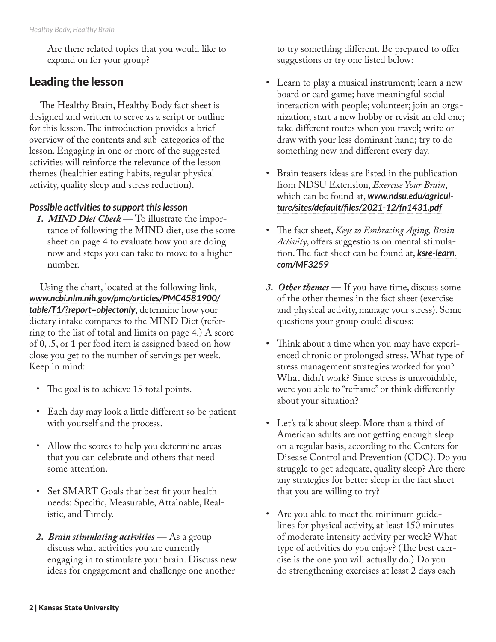Are there related topics that you would like to expand on for your group?

### Leading the lesson

The Healthy Brain, Healthy Body fact sheet is designed and written to serve as a script or outline for this lesson. The introduction provides a brief overview of the contents and sub-categories of the lesson. Engaging in one or more of the suggested activities will reinforce the relevance of the lesson themes (healthier eating habits, regular physical activity, quality sleep and stress reduction).

### *Possible activities to support this lesson*

*1. MIND Diet Check* — To illustrate the importance of following the MIND diet, use the score sheet on page 4 to evaluate how you are doing now and steps you can take to move to a higher number.

Using the chart, located at the following link, *[www.ncbi.nlm.nih.gov/pmc/articles/PMC4581900/](https://www.ncbi.nlm.nih.gov/pmc/articles/PMC4581900/table/T1/?report=objectonly) [table/T1/?report=objectonly](https://www.ncbi.nlm.nih.gov/pmc/articles/PMC4581900/table/T1/?report=objectonly)*, determine how your dietary intake compares to the MIND Diet (referring to the list of total and limits on page 4.) A score of 0, .5, or 1 per food item is assigned based on how close you get to the number of servings per week. Keep in mind:

- The goal is to achieve 15 total points.
- Each day may look a little different so be patient with yourself and the process.
- Allow the scores to help you determine areas that you can celebrate and others that need some attention.
- Set SMART Goals that best fit your health needs: Specific, Measurable, Attainable, Realistic, and Timely.
- *2. Brain stimulating activities* As a group discuss what activities you are currently engaging in to stimulate your brain. Discuss new ideas for engagement and challenge one another

to try something different. Be prepared to offer suggestions or try one listed below:

- Learn to play a musical instrument; learn a new board or card game; have meaningful social interaction with people; volunteer; join an organization; start a new hobby or revisit an old one; take different routes when you travel; write or draw with your less dominant hand; try to do something new and different every day.
- Brain teasers ideas are listed in the publication from NDSU Extension, *Exercise Your Brain*, which can be found at, *[www.ndsu.edu/agricul](https://www.ndsu.edu/agriculture/sites/default/files/2021-12/fn1431.pdf)[ture/sites/default/files/2021-12/fn1431.pdf](https://www.ndsu.edu/agriculture/sites/default/files/2021-12/fn1431.pdf)*
- The fact sheet, *Keys to Embracing Aging, Brain Activity*, offers suggestions on mental stimulation. The fact sheet can be found at, *[ksre-learn.](https://ksre-learn.com/MF3259) [com/MF3259](https://ksre-learn.com/MF3259)*
- *3. Other themes* If you have time, discuss some of the other themes in the fact sheet (exercise and physical activity, manage your stress). Some questions your group could discuss:
- Think about a time when you may have experienced chronic or prolonged stress. What type of stress management strategies worked for you? What didn't work? Since stress is unavoidable, were you able to "reframe" or think differently about your situation?
- Let's talk about sleep. More than a third of American adults are not getting enough sleep on a regular basis, according to the Centers for Disease Control and Prevention (CDC). Do you struggle to get adequate, quality sleep? Are there any strategies for better sleep in the fact sheet that you are willing to try?
- Are you able to meet the minimum guidelines for physical activity, at least 150 minutes of moderate intensity activity per week? What type of activities do you enjoy? (The best exercise is the one you will actually do.) Do you do strengthening exercises at least 2 days each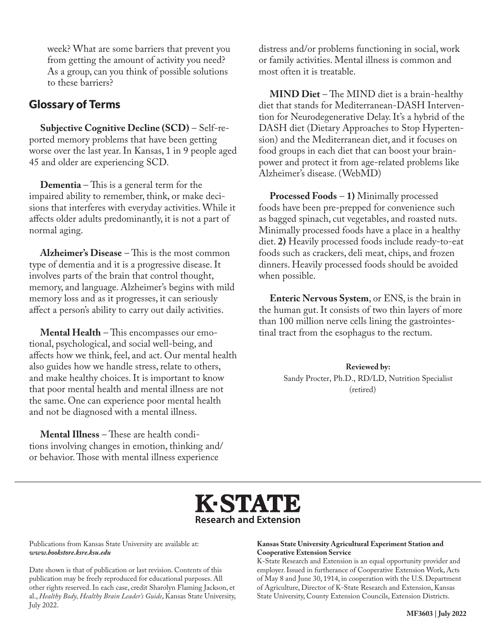week? What are some barriers that prevent you from getting the amount of activity you need? As a group, can you think of possible solutions to these barriers?

### Glossary of Terms

**Subjective Cognitive Decline (SCD)** – Self-reported memory problems that have been getting worse over the last year. In Kansas, 1 in 9 people aged 45 and older are experiencing SCD.

**Dementia** – This is a general term for the impaired ability to remember, think, or make decisions that interferes with everyday activities. While it affects older adults predominantly, it is not a part of normal aging.

**Alzheimer's Disease** – This is the most common type of dementia and it is a progressive disease. It involves parts of the brain that control thought, memory, and language. Alzheimer's begins with mild memory loss and as it progresses, it can seriously affect a person's ability to carry out daily activities.

**Mental Health** – This encompasses our emotional, psychological, and social well-being, and affects how we think, feel, and act. Our mental health also guides how we handle stress, relate to others, and make healthy choices. It is important to know that poor mental health and mental illness are not the same. One can experience poor mental health and not be diagnosed with a mental illness.

**Mental Illness** – These are health conditions involving changes in emotion, thinking and/ or behavior. Those with mental illness experience

distress and/or problems functioning in social, work or family activities. Mental illness is common and most often it is treatable.

**MIND Diet** – The MIND diet is a brain-healthy diet that stands for Mediterranean-DASH Intervention for Neurodegenerative Delay. It's a hybrid of the DASH diet (Dietary Approaches to Stop Hypertension) and the Mediterranean diet, and it focuses on food groups in each diet that can boost your brainpower and protect it from age-related problems like Alzheimer's disease. (WebMD)

**Processed Foods** – **1)** Minimally processed foods have been pre-prepped for convenience such as bagged spinach, cut vegetables, and roasted nuts. Minimally processed foods have a place in a healthy diet. **2)** Heavily processed foods include ready-to-eat foods such as crackers, deli meat, chips, and frozen dinners. Heavily processed foods should be avoided when possible.

**Enteric Nervous System**, or ENS, is the brain in the human gut. It consists of two thin layers of more than 100 million nerve cells lining the gastrointestinal tract from the esophagus to the rectum.

> **Reviewed by:** Sandy Procter, Ph.D., RD/LD, Nutrition Specialist (retired)



Publications from Kansas State University are available at: *www.bookstore.ksre.ksu.edu*

Date shown is that of publication or last revision. Contents of this publication may be freely reproduced for educational purposes. All other rights reserved. In each case, credit Sharolyn Flaming Jackson, et al., *Healthy Body, Healthy Brain Leader's Guide*, Kansas State University, July 2022.

### **Kansas State University Agricultural Experiment Station and Cooperative Extension Service**

K-State Research and Extension is an equal opportunity provider and employer. Issued in furtherance of Cooperative Extension Work, Acts of May 8 and June 30, 1914, in cooperation with the U.S. Department of Agriculture, Director of K-State Research and Extension, Kansas State University, County Extension Councils, Extension Districts.